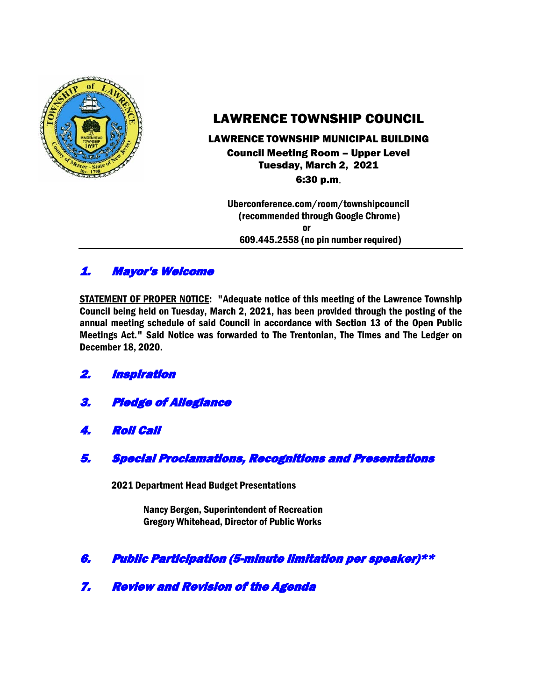

# LAWRENCE TOWNSHIP COUNCIL

## LAWRENCE TOWNSHIP MUNICIPAL BUILDING Council Meeting Room – Upper Level Tuesday, March 2, 2021 6:30 p.m.

 Uberconference.com/room/townshipcouncil (recommended through Google Chrome) **or** *or* 609.445.2558 (no pin number required)

# 1. Mayor's Welcome

STATEMENT OF PROPER NOTICE: "Adequate notice of this meeting of the Lawrence Township Council being held on Tuesday, March 2, 2021, has been provided through the posting of the annual meeting schedule of said Council in accordance with Section 13 of the Open Public Meetings Act." Said Notice was forwarded to The Trentonian, The Times and The Ledger on December 18, 2020.

- 2. Inspiration
- 3. Pledge of Allegiance
- 4. Roll Call
- 5. Special Proclamations, Recognitions and Presentations

2021 Department Head Budget Presentations

Nancy Bergen, Superintendent of Recreation Gregory Whitehead, Director of Public Works

- 6. Public Participation (5-minute limitation per speaker)\*\*
- 7. Review and Revision of the Agenda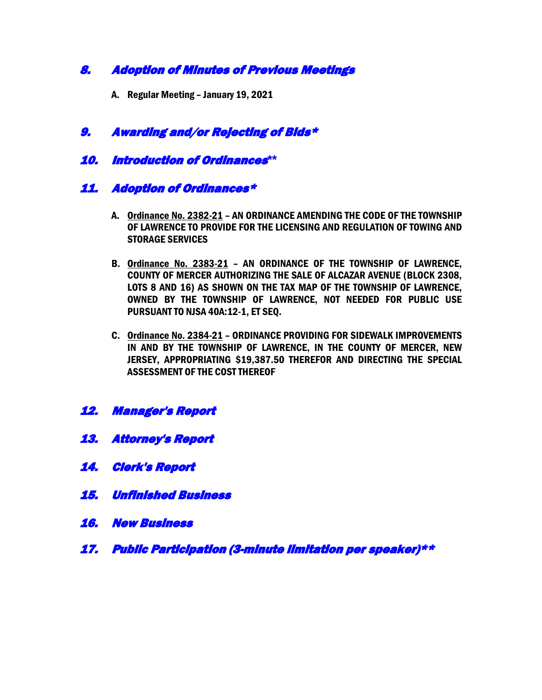## 8. Adoption of Minutes of Previous Meetings

A. Regular Meeting – January 19, 2021

## 9. Awarding and/or Rejecting of Bids\*

## 10. Introduction of Ordinances**\*\***

## 11. Adoption of Ordinances\*

- A. Ordinance No. 2382-21 AN ORDINANCE AMENDING THE CODE OF THE TOWNSHIP OF LAWRENCE TO PROVIDE FOR THE LICENSING AND REGULATION OF TOWING AND STORAGE SERVICES
- B. Ordinance No. 2383-21 AN ORDINANCE OF THE TOWNSHIP OF LAWRENCE, COUNTY OF MERCER AUTHORIZING THE SALE OF ALCAZAR AVENUE (BLOCK 2308, LOTS 8 AND 16) AS SHOWN ON THE TAX MAP OF THE TOWNSHIP OF LAWRENCE, OWNED BY THE TOWNSHIP OF LAWRENCE, NOT NEEDED FOR PUBLIC USE PURSUANT TO NJSA 40A:12-1, ET SEQ.
- C. Ordinance No. 2384-21 ORDINANCE PROVIDING FOR SIDEWALK IMPROVEMENTS IN AND BY THE TOWNSHIP OF LAWRENCE, IN THE COUNTY OF MERCER, NEW JERSEY, APPROPRIATING \$19,387.50 THEREFOR AND DIRECTING THE SPECIAL ASSESSMENT OF THE COST THEREOF
- 12. Manager's Report
- 13. Attorney's Report
- 14. Clerk's Report
- 15. Unfinished Business
- 16. New Business
- 17. Public Participation (3-minute limitation per speaker)\*\*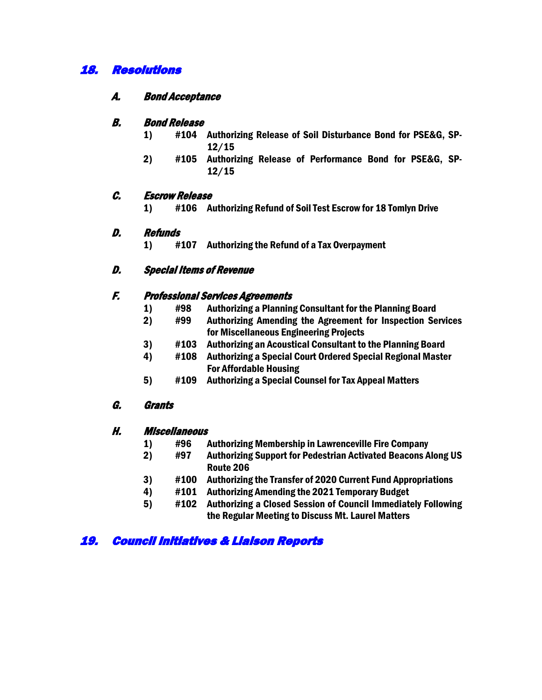## 18. Resolutions

### A. Bond Acceptance

#### B. Bond Release

- 1) #104 Authorizing Release of Soil Disturbance Bond for PSE&G, SP-12/15
- 2) #105 Authorizing Release of Performance Bond for PSE&G, SP-12/15

### C. Escrow Release

1) #106 Authorizing Refund of Soil Test Escrow for 18 Tomlyn Drive

#### D. Refunds

1) #107 Authorizing the Refund of a Tax Overpayment

## D. Special Items of Revenue

#### F. Professional Services Agreements

- 1) #98 Authorizing a Planning Consultant for the Planning Board
- 2) #99 Authorizing Amending the Agreement for Inspection Services for Miscellaneous Engineering Projects
- 3) #103 Authorizing an Acoustical Consultant to the Planning Board
- 4) #108 Authorizing a Special Court Ordered Special Regional Master For Affordable Housing
- 5) #109 Authorizing a Special Counsel for Tax Appeal Matters

### G. Grants

### H. Miscellaneous

- 1) #96 Authorizing Membership in Lawrenceville Fire Company
- 2) #97 Authorizing Support for Pedestrian Activated Beacons Along US Route 206
- 3) #100 Authorizing the Transfer of 2020 Current Fund Appropriations
- 4) #101 Authorizing Amending the 2021 Temporary Budget
- 5) #102 Authorizing a Closed Session of Council Immediately Following the Regular Meeting to Discuss Mt. Laurel Matters

## 19. Council Initiatives & Liaison Reports